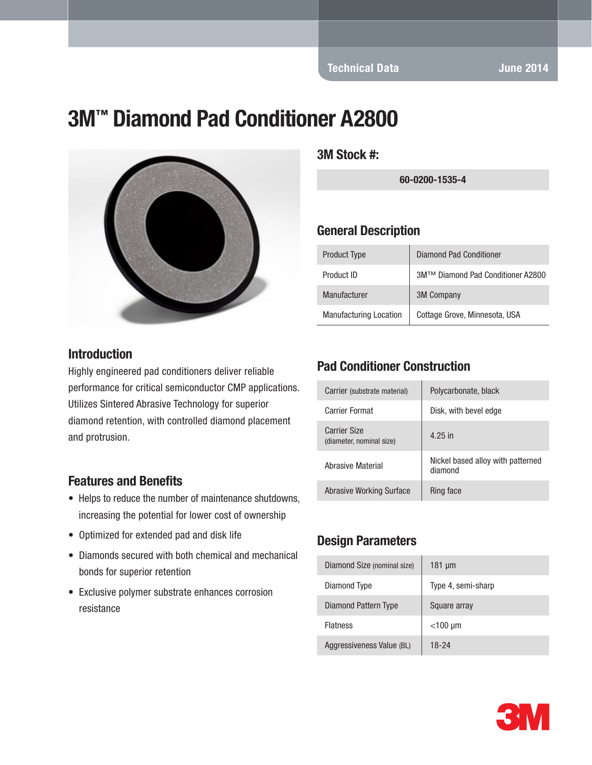Technical Data June 2014

# 3M™ Diamond Pad Conditioner A2800



#### **Introduction**

Highly engineered pad conditioners deliver reliable performance for critical semiconductor CMP applications. Utilizes Sintered Abrasive Technology for superior diamond retention, with controlled diamond placement and protrusion.

#### Features and Benefits

- Helps to reduce the number of maintenance shutdowns, increasing the potential for lower cost of ownership
- Optimized for extended pad and disk life
- Diamonds secured with both chemical and mechanical bonds for superior retention
- Exclusive polymer substrate enhances corrosion resistance

3M Stock #:

60-0200-1535-4

#### General Description

| <b>Product Type</b>           | <b>Diamond Pad Conditioner</b>    |
|-------------------------------|-----------------------------------|
| Product ID                    | 3M™ Diamond Pad Conditioner A2800 |
| Manufacturer                  | <b>3M Company</b>                 |
| <b>Manufacturing Location</b> | Cottage Grove, Minnesota, USA     |

### Pad Conditioner Construction

| Carrier (substrate material)                    | Polycarbonate, black                         |
|-------------------------------------------------|----------------------------------------------|
| Carrier Format                                  | Disk, with bevel edge                        |
| <b>Carrier Size</b><br>(diameter, nominal size) | 4.25 in                                      |
| Abrasive Material                               | Nickel based alloy with patterned<br>diamond |
| Abrasive Working Surface                        | Ring face                                    |

#### Design Parameters

| Diamond Size (nominal size) | $181 \mu m$        |
|-----------------------------|--------------------|
| Diamond Type                | Type 4, semi-sharp |
| Diamond Pattern Type        | Square array       |
| <b>Flatness</b>             | $<$ 100 µm         |
| Aggressiveness Value (BL)   | 18-24              |